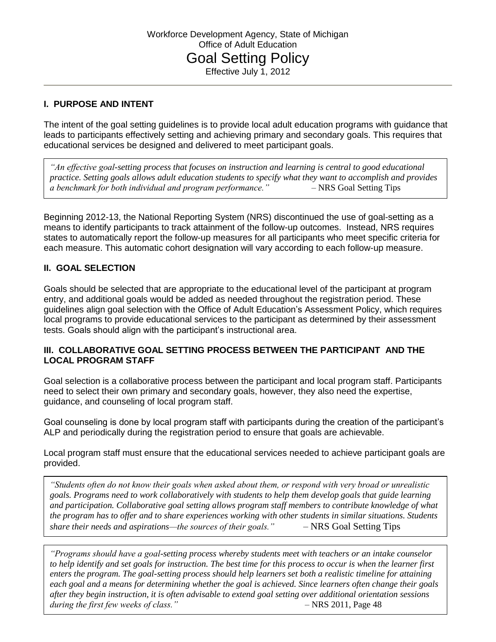# **I. PURPOSE AND INTENT**

The intent of the goal setting guidelines is to provide local adult education programs with guidance that leads to participants effectively setting and achieving primary and secondary goals. This requires that educational services be designed and delivered to meet participant goals.

*"An effective goal-setting process that focuses on instruction and learning is central to good educational practice. Setting goals allows adult education students to specify what they want to accomplish and provides a benchmark for both individual and program performance."* – NRS Goal Setting Tips

Beginning 2012-13, the National Reporting System (NRS) discontinued the use of goal-setting as a means to identify participants to track attainment of the follow-up outcomes. Instead, NRS requires states to automatically report the follow-up measures for all participants who meet specific criteria for each measure. This automatic cohort designation will vary according to each follow-up measure.

# **II. GOAL SELECTION**

Goals should be selected that are appropriate to the educational level of the participant at program entry, and additional goals would be added as needed throughout the registration period. These guidelines align goal selection with the Office of Adult Education's Assessment Policy, which requires local programs to provide educational services to the participant as determined by their assessment tests. Goals should align with the participant's instructional area.

### **III. COLLABORATIVE GOAL SETTING PROCESS BETWEEN THE PARTICIPANT AND THE LOCAL PROGRAM STAFF**

Goal selection is a collaborative process between the participant and local program staff. Participants need to select their own primary and secondary goals, however, they also need the expertise, guidance, and counseling of local program staff.

Goal counseling is done by local program staff with participants during the creation of the participant's ALP and periodically during the registration period to ensure that goals are achievable.

Local program staff must ensure that the educational services needed to achieve participant goals are provided.

*"Students often do not know their goals when asked about them, or respond with very broad or unrealistic goals. Programs need to work collaboratively with students to help them develop goals that guide learning and participation. Collaborative goal setting allows program staff members to contribute knowledge of what the program has to offer and to share experiences working with other students in similar situations. Students share their needs and aspirations—the sources of their goals."* – NRS Goal Setting Tips

*during the first few weeks of class."* – The AFC 2011, Page 48 *"Programs should have a goal-setting process whereby students meet with teachers or an intake counselor to help identify and set goals for instruction. The best time for this process to occur is when the learner first enters the program. The goal-setting process should help learners set both a realistic timeline for attaining each goal and a means for determining whether the goal is achieved. Since learners often change their goals after they begin instruction, it is often advisable to extend goal setting over additional orientation sessions* 

I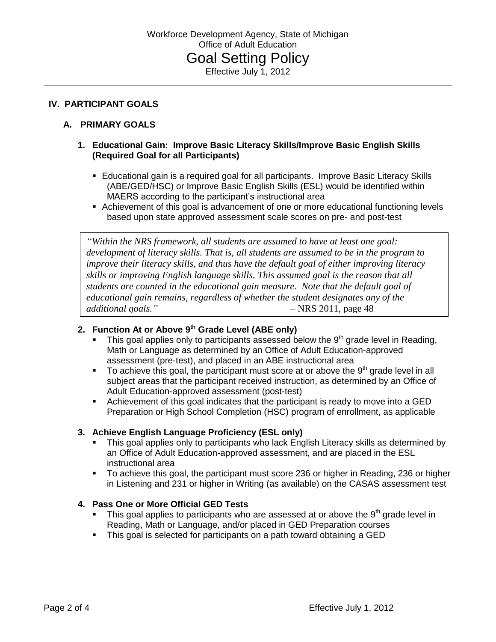### **IV. PARTICIPANT GOALS**

# **A. PRIMARY GOALS**

### **1. Educational Gain: Improve Basic Literacy Skills/Improve Basic English Skills (Required Goal for all Participants)**

- **E** Educational gain is a required goal for all participants. Improve Basic Literacy Skills (ABE/GED/HSC) or Improve Basic English Skills (ESL) would be identified within MAERS according to the participant's instructional area
- Achievement of this goal is advancement of one or more educational functioning levels based upon state approved assessment scale scores on pre- and post-test

*"Within the NRS framework, all students are assumed to have at least one goal: development of literacy skills. That is, all students are assumed to be in the program to improve their literacy skills, and thus have the default goal of either improving literacy skills or improving English language skills. This assumed goal is the reason that all students are counted in the educational gain measure. Note that the default goal of educational gain remains, regardless of whether the student designates any of the additional goals."* – NRS 2011, page 48

# **2. Function At or Above 9 th Grade Level (ABE only)**

- This goal applies only to participants assessed below the  $9<sup>th</sup>$  grade level in Reading, Math or Language as determined by an Office of Adult Education-approved assessment (pre-test), and placed in an ABE instructional area
- To achieve this goal, the participant must score at or above the 9<sup>th</sup> grade level in all subject areas that the participant received instruction, as determined by an Office of Adult Education-approved assessment (post-test)
- Achievement of this goal indicates that the participant is ready to move into a GED Preparation or High School Completion (HSC) program of enrollment, as applicable

#### **3. Achieve English Language Proficiency (ESL only)**

- This goal applies only to participants who lack English Literacy skills as determined by an Office of Adult Education-approved assessment, and are placed in the ESL instructional area
- To achieve this goal, the participant must score 236 or higher in Reading, 236 or higher in Listening and 231 or higher in Writing (as available) on the CASAS assessment test

### **4. Pass One or More Official GED Tests**

- This goal applies to participants who are assessed at or above the  $9<sup>th</sup>$  grade level in Reading, Math or Language, and/or placed in GED Preparation courses
- This goal is selected for participants on a path toward obtaining a GED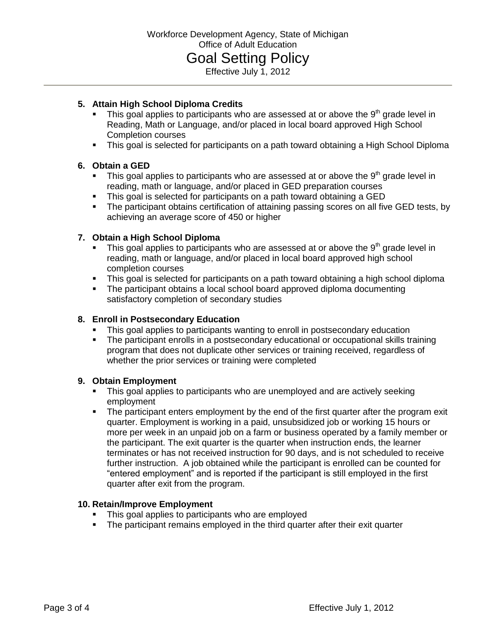#### **5. Attain High School Diploma Credits**

- This goal applies to participants who are assessed at or above the  $9<sup>th</sup>$  grade level in Reading, Math or Language, and/or placed in local board approved High School Completion courses
- This goal is selected for participants on a path toward obtaining a High School Diploma

#### **6. Obtain a GED**

- $\blacksquare$  This goal applies to participants who are assessed at or above the 9<sup>th</sup> grade level in reading, math or language, and/or placed in GED preparation courses
- This goal is selected for participants on a path toward obtaining a GED
- The participant obtains certification of attaining passing scores on all five GED tests, by achieving an average score of 450 or higher

#### **7. Obtain a High School Diploma**

- This goal applies to participants who are assessed at or above the  $9<sup>th</sup>$  grade level in reading, math or language, and/or placed in local board approved high school completion courses
- This goal is selected for participants on a path toward obtaining a high school diploma
- The participant obtains a local school board approved diploma documenting satisfactory completion of secondary studies

#### **8. Enroll in Postsecondary Education**

- This goal applies to participants wanting to enroll in postsecondary education
- The participant enrolls in a postsecondary educational or occupational skills training program that does not duplicate other services or training received, regardless of whether the prior services or training were completed

#### **9. Obtain Employment**

- This goal applies to participants who are unemployed and are actively seeking employment
- The participant enters employment by the end of the first quarter after the program exit quarter. Employment is working in a paid, unsubsidized job or working 15 hours or more per week in an unpaid job on a farm or business operated by a family member or the participant. The exit quarter is the quarter when instruction ends, the learner terminates or has not received instruction for 90 days, and is not scheduled to receive further instruction. A job obtained while the participant is enrolled can be counted for "entered employment" and is reported if the participant is still employed in the first quarter after exit from the program.

#### **10. Retain/Improve Employment**

- This goal applies to participants who are employed
- The participant remains employed in the third quarter after their exit quarter